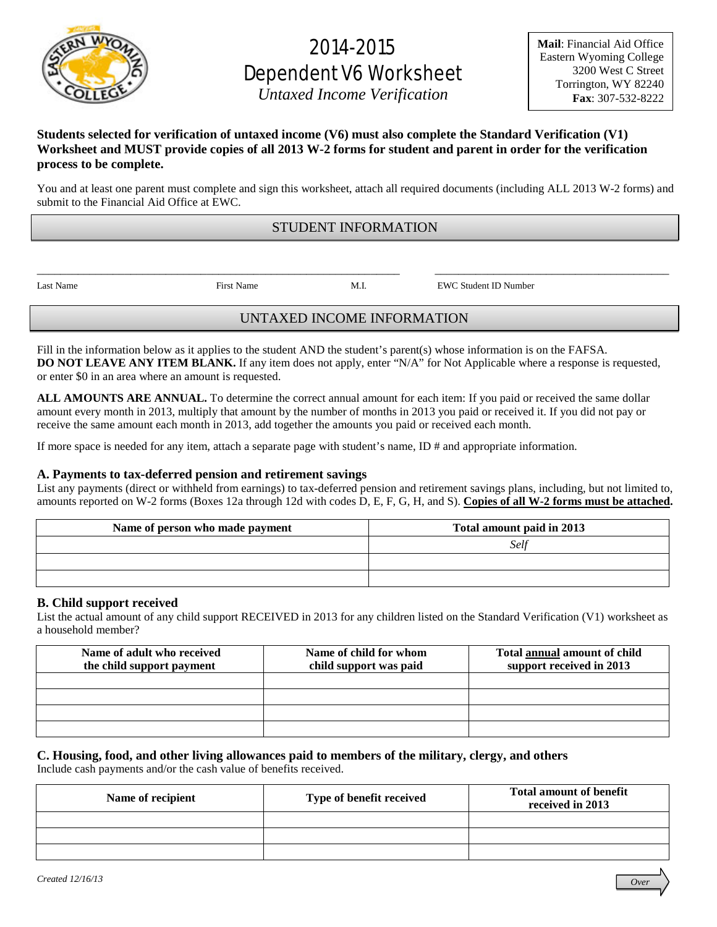

# 2014-2015 Dependent V6 Worksheet

*Untaxed Income Verification* 

## **Students selected for verification of untaxed income (V6) must also complete the Standard Verification (V1) Worksheet and MUST provide copies of all 2013 W-2 forms for student and parent in order for the verification process to be complete.**

You and at least one parent must complete and sign this worksheet, attach all required documents (including ALL 2013 W-2 forms) and submit to the Financial Aid Office at EWC.

# STUDENT INFORMATION

\_\_\_\_\_\_\_\_\_\_\_\_\_\_\_\_\_\_\_\_\_\_\_\_\_\_\_\_\_\_\_\_\_\_\_\_\_\_\_\_\_\_\_\_\_\_\_\_\_\_\_\_\_\_\_\_\_\_\_\_\_\_ \_\_\_\_\_\_\_\_\_\_\_\_\_\_\_\_\_\_\_\_\_\_\_\_\_\_\_\_\_\_\_\_\_\_\_\_\_\_\_\_

Last Name First Name M.I. EWC Student ID Number

# UNTAXED INCOME INFORMATION

Fill in the information below as it applies to the student AND the student's parent(s) whose information is on the FAFSA. **DO NOT LEAVE ANY ITEM BLANK.** If any item does not apply, enter "N/A" for Not Applicable where a response is requested, or enter \$0 in an area where an amount is requested.

**ALL AMOUNTS ARE ANNUAL.** To determine the correct annual amount for each item: If you paid or received the same dollar amount every month in 2013, multiply that amount by the number of months in 2013 you paid or received it. If you did not pay or receive the same amount each month in 2013, add together the amounts you paid or received each month.

If more space is needed for any item, attach a separate page with student's name, ID # and appropriate information.

#### **A. Payments to tax-deferred pension and retirement savings**

List any payments (direct or withheld from earnings) to tax-deferred pension and retirement savings plans, including, but not limited to, amounts reported on W-2 forms (Boxes 12a through 12d with codes D, E, F, G, H, and S). **Copies of all W-2 forms must be attached.**

| Name of person who made payment | Total amount paid in 2013 |
|---------------------------------|---------------------------|
|                                 | Self                      |
|                                 |                           |
|                                 |                           |

#### **B. Child support received**

List the actual amount of any child support RECEIVED in 2013 for any children listed on the Standard Verification (V1) worksheet as a household member?

| Name of adult who received<br>the child support payment | Name of child for whom<br>child support was paid | Total annual amount of child<br>support received in 2013 |
|---------------------------------------------------------|--------------------------------------------------|----------------------------------------------------------|
|                                                         |                                                  |                                                          |
|                                                         |                                                  |                                                          |
|                                                         |                                                  |                                                          |
|                                                         |                                                  |                                                          |

## **C. Housing, food, and other living allowances paid to members of the military, clergy, and others**

Include cash payments and/or the cash value of benefits received.

| Name of recipient | Type of benefit received | <b>Total amount of benefit</b><br>received in 2013 |
|-------------------|--------------------------|----------------------------------------------------|
|                   |                          |                                                    |
|                   |                          |                                                    |
|                   |                          |                                                    |